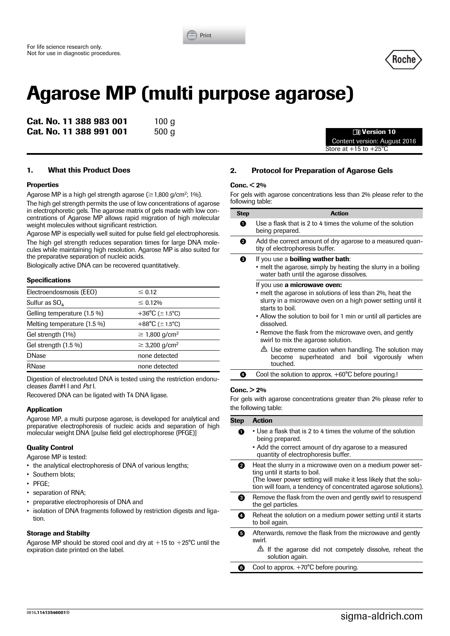



# **Agarose MP (multi purpose agarose)**

**Cat. No. 11 388 983 001** 100 g **Cat. No. 11 388 991 001** 500 g y **Version 10**

Content version: August 2016 Store at  $+15$  to  $+25^{\circ}$ C

# **1. What this Product Does**

## **Properties**

Agarose MP is a high gel strength agarose  $(\geq 1,800 \text{ g/cm}^2; 1\%)$ .

The high gel strength permits the use of low concentrations of agarose in electrophoretic gels. The agarose matrix of gels made with low concentrations of Agarose MP allows rapid migration of high molecular weight molecules without significant restriction.

Agarose MP is especially well suited for pulse field gel electrophoresis. The high gel strength reduces separation times for large DNA molecules while maintaining high resolution. Agarose MP is also suited for the preparative separation of nucleic acids.

Biologically active DNA can be recovered quantitatively.

#### **Specifications**

| Electroendosmosis (EEO)     | $\leq 0.12$                    |
|-----------------------------|--------------------------------|
| Sulfur as $SO_{4}$          | $\leq 0.12\%$                  |
| Gelling temperature (1.5 %) | +36°C ( $\pm$ 1.5°C)           |
| Melting temperature (1.5 %) | +88°C ( $\pm$ 1.5°C)           |
| Gel strength (1%)           | $\geq$ 1,800 g/cm <sup>2</sup> |
| Gel strength $(1.5\%)$      | $\geq$ 3,200 g/cm <sup>2</sup> |
| <b>DNase</b>                | none detected                  |
| RNase                       | none detected                  |
|                             |                                |

Digestion of electroeluted DNA is tested using the restriction endonucleases *Bam*H I and *Pst* I.

Recovered DNA can be ligated with T4 DNA ligase.

# **Application**

Agarose MP, a multi purpose agarose, is developed for analytical and preparative electrophoresis of nucleic acids and separation of high molecular weight DNA [pulse field gel electrophorese (PFGE)]

# **Quality Control**

Agarose MP is tested:

- the analytical electrophoresis of DNA of various lengths;
- Southern blots;
- PFGE;
- separation of RNA;
- preparative electrophoresis of DNA and
- isolation of DNA fragments followed by restriction digests and ligation.

# **Storage and Stabilty**

Agarose MP should be stored cool and drv at  $+15$  to  $+25^{\circ}$ C until the expiration date printed on the label.

# **2. Protocol for Preparation of Agarose Gels**

## **Conc. < 2%**

For gels with agarose concentrations less than 2% please refer to the following table:

| <b>Step</b> | <b>Action</b>                                                                                                                                                                                                                                                                                                            |
|-------------|--------------------------------------------------------------------------------------------------------------------------------------------------------------------------------------------------------------------------------------------------------------------------------------------------------------------------|
| o           | Use a flask that is 2 to 4 times the volume of the solution<br>being prepared.                                                                                                                                                                                                                                           |
| 0           | Add the correct amount of dry agarose to a measured quan-<br>tity of electrophoresis buffer.                                                                                                                                                                                                                             |
| ❸           | If you use a <b>boiling wather bath</b> :<br>• melt the agarose, simply by heating the slurry in a boiling<br>water bath until the agarose dissolves.                                                                                                                                                                    |
|             | If you use a microwave oven:<br>• melt the agarose in solutions of less than 2%, heat the<br>slurry in a microwave oven on a high power setting until it<br>starts to boil.<br>• Allow the solution to boil for 1 min or until all particles are<br>dissolved.<br>• Remove the flask from the microwave oven, and gently |
|             | swirl to mix the agarose solution.<br>$\Delta$ Use extreme caution when handling. The solution may<br>superheated and boil vigorously when<br>become<br>touched.                                                                                                                                                         |

Cool the solution to approx. +60°C before pouring.!

#### **Conc. > 2%**

For gels with agarose concentrations greater than 2% please refer to the following table:

| <b>Step</b> | <b>Action</b>                                                                                                                                                                                                                    |
|-------------|----------------------------------------------------------------------------------------------------------------------------------------------------------------------------------------------------------------------------------|
| A           | • Use a flask that is 2 to 4 times the volume of the solution<br>being prepared.<br>• Add the correct amount of dry agarose to a measured<br>quantity of electrophoresis buffer.                                                 |
| 0           | Heat the slurry in a microwave oven on a medium power set-<br>ting until it starts to boil.<br>The lower power setting will make it less likely that the solu-<br>tion will foam, a tendency of concentrated agarose solutions). |
| 0           | Remove the flask from the oven and gently swirl to resuspend<br>the gel particles.                                                                                                                                               |
| 4           | Reheat the solution on a medium power setting until it starts<br>to boil again.                                                                                                                                                  |
| 0           | Afterwards, remove the flask from the microwave and gently<br>swirl.<br>$\triangle$ If the agarose did not competely dissolve, reheat the<br>solution again.                                                                     |
|             |                                                                                                                                                                                                                                  |
| 6           | Cool to approx. +70°C before pouring.                                                                                                                                                                                            |